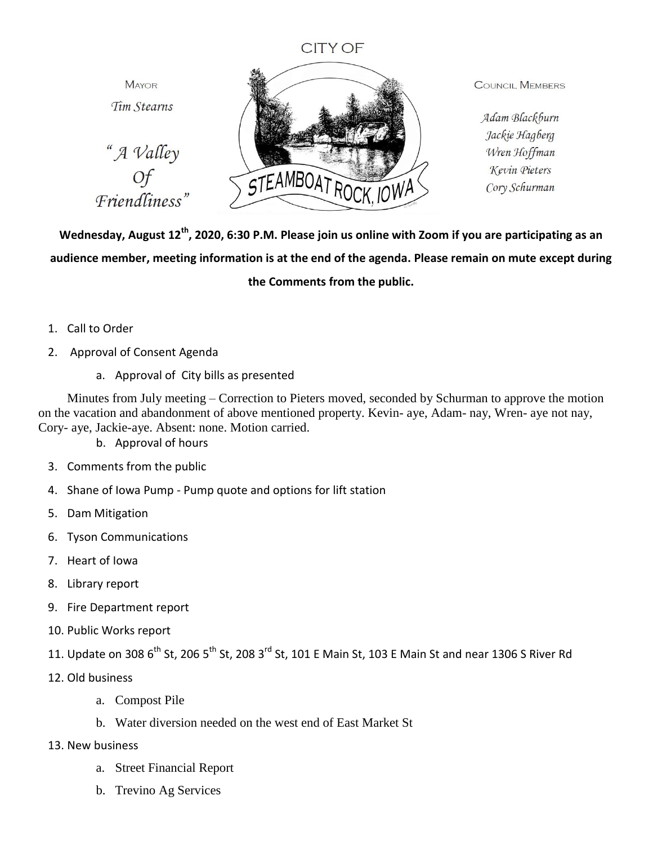## **CITY OF**

**MAYOR** Tim Stearns





**COUNCIL MEMBERS** 

Adam Blackburn Jackie Hagberg Wren Hoffman Kevin Pieters Cory Schurman

**Wednesday, August 12th, 2020, 6:30 P.M. Please join us online with Zoom if you are participating as an audience member, meeting information is at the end of the agenda. Please remain on mute except during the Comments from the public.**

- 1. Call to Order
- 2. Approval of Consent Agenda
	- a. Approval of City bills as presented

Minutes from July meeting – Correction to Pieters moved, seconded by Schurman to approve the motion on the vacation and abandonment of above mentioned property. Kevin- aye, Adam- nay, Wren- aye not nay, Cory- aye, Jackie-aye. Absent: none. Motion carried.

b. Approval of hours

- 3. Comments from the public
- 4. Shane of Iowa Pump Pump quote and options for lift station
- 5. Dam Mitigation
- 6. Tyson Communications
- 7. Heart of Iowa
- 8. Library report
- 9. Fire Department report
- 10. Public Works report
- 11. Update on 308 6<sup>th</sup> St, 206 5<sup>th</sup> St, 208 3<sup>rd</sup> St, 101 E Main St, 103 E Main St and near 1306 S River Rd
- 12. Old business
	- a. Compost Pile
	- b. Water diversion needed on the west end of East Market St
- 13. New business
	- a. Street Financial Report
	- b. Trevino Ag Services